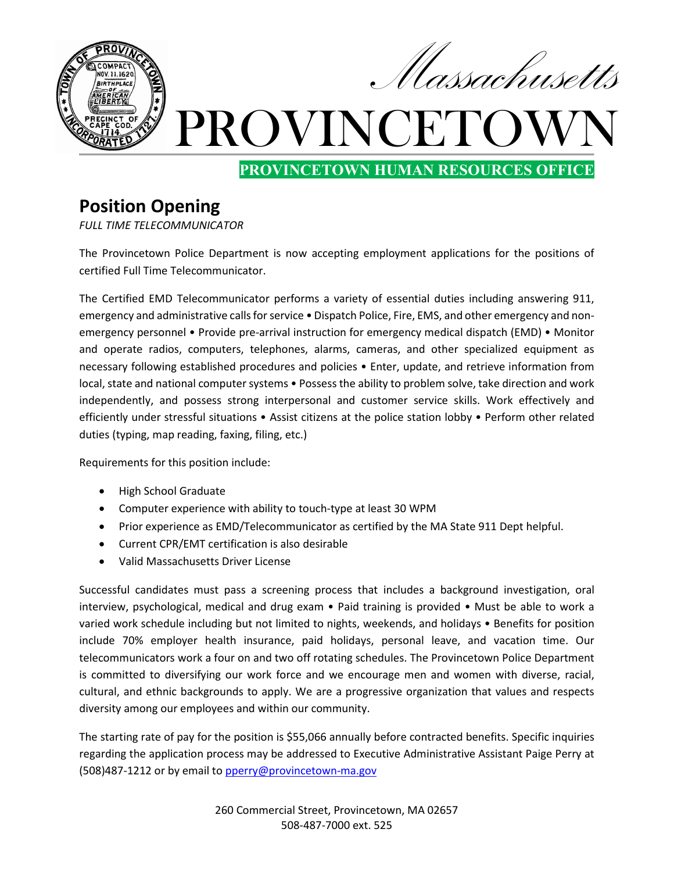

**PROVINCETOWN HUMAN RESOURCES OFFICE**

## **Position Opening**

*FULL TIME TELECOMMUNICATOR*

The Provincetown Police Department is now accepting employment applications for the positions of certified Full Time Telecommunicator.

The Certified EMD Telecommunicator performs a variety of essential duties including answering 911, emergency and administrative calls for service • Dispatch Police, Fire, EMS, and other emergency and nonemergency personnel • Provide pre-arrival instruction for emergency medical dispatch (EMD) • Monitor and operate radios, computers, telephones, alarms, cameras, and other specialized equipment as necessary following established procedures and policies • Enter, update, and retrieve information from local, state and national computer systems • Possess the ability to problem solve, take direction and work independently, and possess strong interpersonal and customer service skills. Work effectively and efficiently under stressful situations • Assist citizens at the police station lobby • Perform other related duties (typing, map reading, faxing, filing, etc.)

Requirements for this position include:

- High School Graduate
- Computer experience with ability to touch-type at least 30 WPM
- Prior experience as EMD/Telecommunicator as certified by the MA State 911 Dept helpful.
- Current CPR/EMT certification is also desirable
- Valid Massachusetts Driver License

Successful candidates must pass a screening process that includes a background investigation, oral interview, psychological, medical and drug exam • Paid training is provided • Must be able to work a varied work schedule including but not limited to nights, weekends, and holidays • Benefits for position include 70% employer health insurance, paid holidays, personal leave, and vacation time. Our telecommunicators work a four on and two off rotating schedules. The Provincetown Police Department is committed to diversifying our work force and we encourage men and women with diverse, racial, cultural, and ethnic backgrounds to apply. We are a progressive organization that values and respects diversity among our employees and within our community.

The starting rate of pay for the position is \$55,066 annually before contracted benefits. Specific inquiries regarding the application process may be addressed to Executive Administrative Assistant Paige Perry at (508)487-1212 or by email t[o pperry@provincetown-ma.gov](mailto:pperry@provincetown-ma.gov)